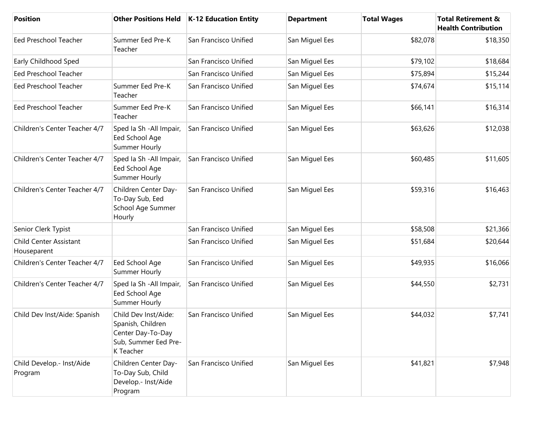| <b>Position</b>                              | <b>Other Positions Held</b>                                                                         | K-12 Education Entity | <b>Department</b> | <b>Total Wages</b> | <b>Total Retirement &amp;</b><br><b>Health Contribution</b> |
|----------------------------------------------|-----------------------------------------------------------------------------------------------------|-----------------------|-------------------|--------------------|-------------------------------------------------------------|
| <b>Eed Preschool Teacher</b>                 | Summer Eed Pre-K<br>Teacher                                                                         | San Francisco Unified | San Miguel Ees    | \$82,078           | \$18,350                                                    |
| Early Childhood Sped                         |                                                                                                     | San Francisco Unified | San Miguel Ees    | \$79,102           | \$18,684                                                    |
| Eed Preschool Teacher                        |                                                                                                     | San Francisco Unified | San Miguel Ees    | \$75,894           | \$15,244                                                    |
| <b>Eed Preschool Teacher</b>                 | Summer Eed Pre-K<br>Teacher                                                                         | San Francisco Unified | San Miguel Ees    | \$74,674           | \$15,114                                                    |
| <b>Eed Preschool Teacher</b>                 | Summer Eed Pre-K<br>Teacher                                                                         | San Francisco Unified | San Miguel Ees    | \$66,141           | \$16,314                                                    |
| Children's Center Teacher 4/7                | Sped Ia Sh - All Impair,<br>Eed School Age<br>Summer Hourly                                         | San Francisco Unified | San Miguel Ees    | \$63,626           | \$12,038                                                    |
| Children's Center Teacher 4/7                | Sped Ia Sh - All Impair,<br>Eed School Age<br>Summer Hourly                                         | San Francisco Unified | San Miguel Ees    | \$60,485           | \$11,605                                                    |
| Children's Center Teacher 4/7                | Children Center Day-<br>To-Day Sub, Eed<br>School Age Summer<br>Hourly                              | San Francisco Unified | San Miguel Ees    | \$59,316           | \$16,463                                                    |
| Senior Clerk Typist                          |                                                                                                     | San Francisco Unified | San Miguel Ees    | \$58,508           | \$21,366                                                    |
| <b>Child Center Assistant</b><br>Houseparent |                                                                                                     | San Francisco Unified | San Miguel Ees    | \$51,684           | \$20,644                                                    |
| Children's Center Teacher 4/7                | Eed School Age<br>Summer Hourly                                                                     | San Francisco Unified | San Miguel Ees    | \$49,935           | \$16,066                                                    |
| Children's Center Teacher 4/7                | Sped Ia Sh - All Impair,<br>Eed School Age<br>Summer Hourly                                         | San Francisco Unified | San Miguel Ees    | \$44,550           | \$2,731                                                     |
| Child Dev Inst/Aide: Spanish                 | Child Dev Inst/Aide:<br>Spanish, Children<br>Center Day-To-Day<br>Sub, Summer Eed Pre-<br>K Teacher | San Francisco Unified | San Miguel Ees    | \$44,032           | \$7,741                                                     |
| Child Develop.- Inst/Aide<br>Program         | Children Center Day-<br>To-Day Sub, Child<br>Develop .- Inst/Aide<br>Program                        | San Francisco Unified | San Miguel Ees    | \$41,821           | \$7,948                                                     |